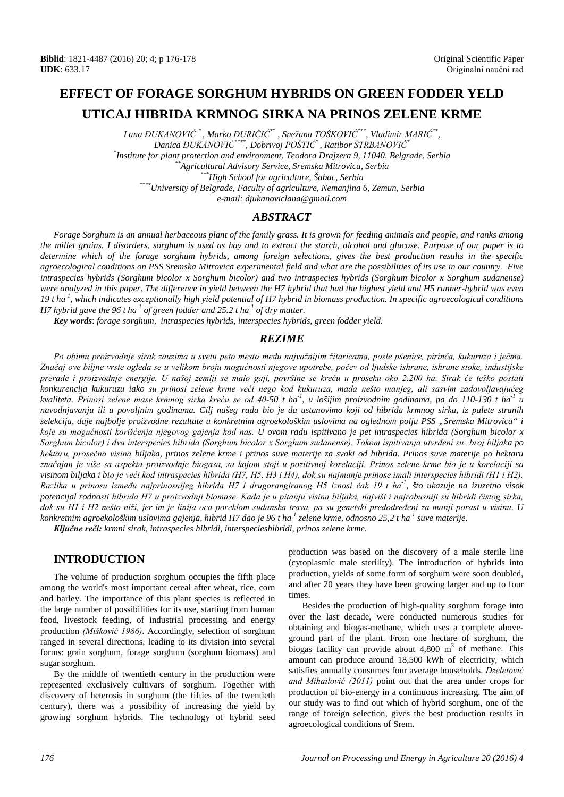# **EFFECT OF FORAGE SORGHUM HYBRIDS ON GREEN FODDER YELD UTICAJ HIBRIDA KRMNOG SIRKA NA PRINOS ZELENE KRME**

*Lana ĐUKANOVIĆ \* , Marko ĐURIČIĆ\*\* , Snežana TOŠKOVIĆ\*\*\*, Vladimir MARIĆ\*\*, Danica ĐUKANOVIĆ\*\*\*\*, Dobrivoj POŠTIĆ\* , Ratibor ŠTRBANOVIĆ\* \* Institute for plant protection and environment, Teodora Drajzera 9, 11040, Belgrade, Serbia \*\*Agricultural Advisory Service, Sremska Mitrovica, Serbia \*\*\*High School for agriculture, Šabac, Serbia \*\*\*\*University of Belgrade, Faculty of agriculture, Nemanjina 6, Zemun, Serbia e-mail: djukanoviclana@gmail.com*

## *ABSTRACT*

*Forage Sorghum is an annual herbaceous plant of the family grass. It is grown for feeding animals and people, and ranks among the millet grains. I disorders, sorghum is used as hay and to extract the starch, alcohol and glucose. Purpose of our paper is to determine which of the forage sorghum hybrids, among foreign selections, gives the best production results in the specific agroecological conditions on PSS Sremska Mitrovica experimental field and what are the possibilities of its use in our country. Five intraspecies hybrids (Sorghum bicolor x Sorghum bicolor) and two intraspecies hybrids (Sorghum bicolor x Sorghum sudanense) were analyzed in this paper. The difference in yield between the H7 hybrid that had the highest yield and H5 runner-hybrid was even 19 t ha-1 , which indicates exceptionally high yield potential of H7 hybrid in biomass production. In specific agroecological conditions H7 hybrid gave the 96 t ha-1 of green fodder and 25.2 t ha-1 of dry matter.*

*Key words*: *forage sorghum, intraspecies hybrids, interspecies hybrids, green fodder yield.*

#### *REZIME*

*Po obimu proizvodnje sirak zauzima u svetu peto mesto među najvažnijim žitaricama, posle pšenice, pirinča, kukuruza i ječma. Značaj ove biljne vrste ogleda se u velikom broju mogućnosti njegove upotrebe, počev od ljudske ishrane, ishrane stoke, industijske prerade i proizvodnje energije. U našoj zemlji se malo gaji, površine se kreću u proseku oko 2.200 ha. Sirak će teško postati konkurencija kukuruzu iako su prinosi zelene krme veći nego kod kukuruza, mada nešto manjeg, ali sasvim zadovoljavajućeg kvaliteta. Prinosi zelene mase krmnog sirka kreću se od 40-50 t ha-1 , u lošijim proizvodnim godinama, pa do 110-130 t ha-1 u navodnjavanju ili u povoljnim godinama. Cilj našeg rada bio je da ustanovimo koji od hibrida krmnog sirka, iz palete stranih selekcija, daje najbolje proizvodne rezultate u konkretnim agroekološkim uslovima na oglednom polju PSS "Sremska Mitrovica" i koje su mogućnosti korišćenja njegovog gajenja kod nas. U ovom radu ispitivano je pet intraspecies hibrida (Sorghum bicolor x Sorghum bicolor) i dva interspecies hibrida (Sorghum bicolor x Sorghum sudanense). Tokom ispitivanja utvrđeni su: broj biljaka po hektaru, prosečna visina biljaka, prinos zelene krme i prinos suve materije za svaki od hibrida. Prinos suve materije po hektaru značajan je više sa aspekta proizvodnje biogasa, sa kojom stoji u pozitivnoj korelaciji. Prinos zelene krme bio je u korelaciji sa visinom biljaka i bio je veći kod intraspecies hibrida (H7, H5, H3 i H4), dok su najmanje prinose imali interspecies hibridi (H1 i H2). Razlika u prinosu između najprinosnijeg hibrida H7 i drugorangiranog H5 iznosi čak 19 t ha-1 , što ukazuje na izuzetno visok potencijal rodnosti hibrida H7 u proizvodnji biomase. Kada je u pitanju visina biljaka, najviši i najrobusniji su hibridi čistog sirka, dok su H1 i H2 nešto niži, jer im je linija oca poreklom sudanska trava, pa su genetski predodređeni za manji porast u visinu. U konkretnim agroekološkim uslovima gajenja, hibrid H7 dao je 96 t ha-1 zelene krme, odnosno 25,2 t ha-1 suve materije.*

*Ključne reči: krmni sirak, intraspecies hibridi, interspecieshibridi, prinos zelene krme.*

## **INTRODUCTION**

The volume of production sorghum occupies the fifth place among the world's most important cereal after wheat, rice, corn and barley. The importance of this plant species is reflected in the large number of possibilities for its use, starting from human food, livestock feeding, of industrial processing and energy production *(Mišković 1986)*. Accordingly, selection of sorghum ranged in several directions, leading to its division into several forms: grain sorghum, forage sorghum (sorghum biomass) and sugar sorghum.

By the middle of twentieth century in the production were represented exclusively cultivars of sorghum. Together with discovery of heterosis in sorghum (the fifties of the twentieth century), there was a possibility of increasing the yield by growing sorghum hybrids. The technology of hybrid seed production was based on the discovery of a male sterile line (cytoplasmic male sterility). The introduction of hybrids into production, yields of some form of sorghum were soon doubled, and after 20 years they have been growing larger and up to four times.

Besides the production of high-quality sorghum forage into over the last decade, were conducted numerous studies for obtaining and biogas-methane, which uses a complete aboveground part of the plant. From one hectare of sorghum, the biogas facility can provide about  $4,800 \text{ m}^3$  of methane. This amount can produce around 18,500 kWh of electricity, which satisfies annually consumes four average households. *Dzeletović and Mihailović (2011)* point out that the area under crops for production of bio-energy in a continuous increasing. The aim of our study was to find out which of hybrid sorghum, one of the range of foreign selection, gives the best production results in agroecological conditions of Srem.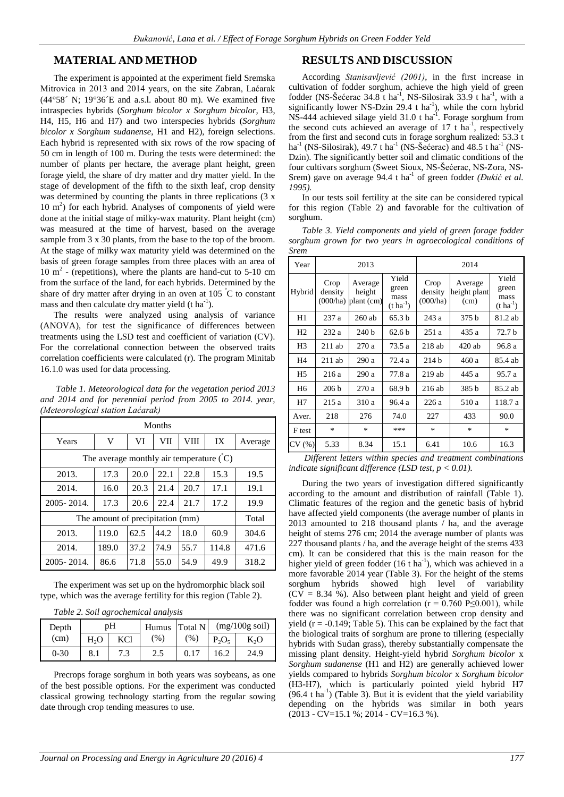#### **MATERIAL AND METHOD**

The experiment is appointed at the experiment field Sremska Mitrovica in 2013 and 2014 years, on the site Zabran, Laćarak  $(44^{\circ}58' \text{ N}; 19^{\circ}36 \text{ E and a.s.}$ l. about 80 m). We examined five intraspecies hybrids (*Sorghum bicolor x Sorghum bicolor,* H3, H4, H5, H6 and H7) and two interspecies hybrids (*Sorghum bicolor x Sorghum sudanense*, H1 and H2), foreign selections. Each hybrid is represented with six rows of the row spacing of 50 cm in length of 100 m. During the tests were determined: the number of plants per hectare, the average plant height, green forage yield, the share of dry matter and dry matter yield. In the stage of development of the fifth to the sixth leaf, crop density was determined by counting the plants in three replications (3 x  $10 \text{ m}^2$ ) for each hybrid. Analyses of components of yield were done at the initial stage of milky-wax maturity. Plant height (cm) was measured at the time of harvest, based on the average sample from 3 x 30 plants, from the base to the top of the broom. At the stage of milky wax maturity yield was determined on the basis of green forage samples from three places with an area of  $10 \text{ m}^2$  - (repetitions), where the plants are hand-cut to 5-10 cm from the surface of the land, for each hybrids. Determined by the share of dry matter after drying in an oven at 105  $\degree$ C to constant mass and then calculate dry matter yield  $(t \, ha^{-1})$ .

The results were analyzed using analysis of variance (ANOVA), for test the significance of differences between treatments using the LSD test and coefficient of variation (CV). For the correlational connection between the observed traits correlation coefficients were calculated (r). The program Minitab 16.1.0 was used for data processing.

*Table 1. Meteorological data for the vegetation period 2013 and 2014 and for perennial period from 2005 to 2014. year, (Meteorological station Laćarak)*

| Months                                                |       |      |      |      |       |         |  |
|-------------------------------------------------------|-------|------|------|------|-------|---------|--|
| Years                                                 | V     | VI   | VII  | VIII | IX    | Average |  |
| The average monthly air temperature $(C)$             |       |      |      |      |       |         |  |
| 17.3<br>20.0<br>22.1<br>22.8<br>2013.<br>15.3<br>19.5 |       |      |      |      |       |         |  |
| 2014.                                                 | 16.0  | 20.3 | 21.4 | 20.7 | 17.1  | 19.1    |  |
| 2005-2014.                                            | 17.3  | 20.6 | 22.4 | 21.7 | 17.2  | 19.9    |  |
| The amount of precipitation (mm)                      | Total |      |      |      |       |         |  |
| 2013.                                                 | 119.0 | 62.5 | 44.2 | 18.0 | 60.9  | 304.6   |  |
| 2014.                                                 | 189.0 | 37.2 | 74.9 | 55.7 | 114.8 | 471.6   |  |
| 2005-2014.                                            | 86.6  | 71.8 | 55.0 | 54.9 | 49.9  | 318.2   |  |

The experiment was set up on the hydromorphic black soil type, which was the average fertility for this region (Table 2).

|  |  | Table 2. Soil agrochemical analysis |  |
|--|--|-------------------------------------|--|
|  |  |                                     |  |

| Depth    | pН               |     | Humus | Total N | $(mg/100g \text{ soil})$ |      |
|----------|------------------|-----|-------|---------|--------------------------|------|
| (cm)     | H <sub>2</sub> O | KCl | (%)   | (%)     | $P_2O_5$                 | K,O  |
| $0 - 30$ | 8.1              | 7.3 | 2.5   | 0.17    | 16.2                     | 24.9 |

Precrops forage sorghum in both years was soybeans, as one of the best possible options. For the experiment was conducted classical growing technology starting from the regular sowing date through crop tending measures to use.

## **RESULTS AND DISCUSSION**

According *Stanisavljević (2001)*, in the first increase in cultivation of fodder sorghum, achieve the high yield of green fodder (NS-Šećerac 34.8 t ha<sup>-1</sup>, NS-Silosirak 33.9 t ha<sup>-1</sup>, with a significantly lower NS-Dzin 29.4  $t$  ha<sup>-1</sup>), while the corn hybrid NS-444 achieved silage yield 31.0 t ha<sup>-1</sup>. Forage sorghum from the second cuts achieved an average of  $17$  t ha<sup>-1</sup>, respectively from the first and second cuts in forage sorghum realized: 53.3 t ha<sup>-1</sup> (NS-Silosirak), 49.7 t ha<sup>-1</sup> (NS-Šećerac) and 48.5 t ha<sup>-1</sup> (NS-Dzin). The significantly better soil and climatic conditions of the four cultivars sorghum (Sweet Sioux, NS-Šećerac, NS-Zora, NS-Srem) gave on average 94.4 t ha<sup>-1</sup> of green fodder *(Đukić et al.*) *1995).*

In our tests soil fertility at the site can be considered typical for this region (Table 2) and favorable for the cultivation of sorghum.

*Table 3. Yield components and yield of green forage fodder sorghum grown for two years in agroecological conditions of Srem*

| Year           | 2013             |                                              |                                                 | 2014                        |                                 |                                                 |
|----------------|------------------|----------------------------------------------|-------------------------------------------------|-----------------------------|---------------------------------|-------------------------------------------------|
| Hybrid         | Crop<br>density  | Average<br>height<br>$(000/ha)$ plant $(cm)$ | Yield<br>green<br>mass<br>$(t \text{ ha}^{-1})$ | Crop<br>density<br>(000/ha) | Average<br>height plant<br>(cm) | Yield<br>green<br>mass<br>$(t \text{ ha}^{-1})$ |
| H1             | 237a             | $260$ ab                                     | 65.3 <sub>b</sub>                               | 243a                        | 375 <sub>b</sub>                | 81.2 ab                                         |
| H <sub>2</sub> | 232 a            | 240 b                                        | 62.6 b                                          | 251a                        | 435 a                           | 72.7 b                                          |
| H3             | $211$ ab         | 270a                                         | 73.5 a                                          | $218$ ab                    | $420$ ab                        | 96.8 a                                          |
| H4             | $211$ ab         | 290a                                         | 72.4a                                           | 214h                        | 460 a                           | 85.4 ab                                         |
| H <sub>5</sub> | 216a             | 290 a                                        | 77.8 a                                          | 219ab                       | 445 a                           | 95.7a                                           |
| H6             | 206 <sub>b</sub> | 270a                                         | 68.9 b                                          | $216$ ab                    | 385 b                           | 85.2 ab                                         |
| Η7             | 215a             | 310 a                                        | 96.4a                                           | 226a                        | 510 a                           | 118.7 a                                         |
| Aver.          | 218              | 276                                          | 74.0                                            | 227                         | 433                             | 90.0                                            |
| F test         | $\ast$           | $\ast$                                       | ***                                             | $\ast$                      | $\ast$                          | $\ast$                                          |
| CV (%)         | 5.33             | 8.34                                         | 15.1                                            | 6.41                        | 10.6                            | 16.3                                            |

*Different letters within species and treatment combinations indicate significant difference (LSD test, p < 0.01).*

During the two years of investigation differed significantly according to the amount and distribution of rainfall (Table 1). Climatic features of the region and the genetic basis of hybrid have affected yield components (the average number of plants in 2013 amounted to 218 thousand plants / ha, and the average height of stems 276 cm; 2014 the average number of plants was 227 thousand plants / ha, and the average height of the stems 433 cm). It can be considered that this is the main reason for the higher yield of green fodder  $(16 \text{ tha}^{-1})$ , which was achieved in a more favorable 2014 year (Table 3). For the height of the stems sorghum hybrids showed high level of variability  $(CV = 8.34 \%)$ . Also between plant height and yield of green fodder was found a high correlation ( $r = 0.760 \text{ P} \le 0.001$ ), while there was no significant correlation between crop density and yield  $(r = -0.149;$  Table 5). This can be explained by the fact that the biological traits of sorghum are prone to tillering (especially hybrids with Sudan grass), thereby substantially compensate the missing plant density. Height-yield hybrid *Sorghum bicolor* x *Sorghum sudanense* (H1 and H2) are generally achieved lower yields compared to hybrids *Sorghum bicolor* x *Sorghum bicolor* (H3-H7), which is particularly pointed yield hybrid H7  $(96.4 \text{ tha}^{-1})$  (Table 3). But it is evident that the yield variability depending on the hybrids was similar in both years (2013 - CV=15.1 %; 2014 - CV=16.3 %).